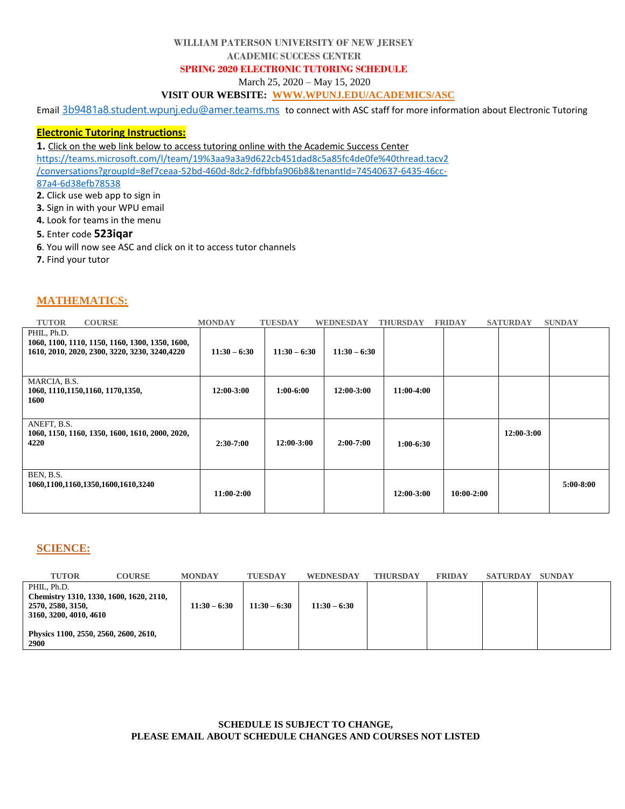### **WILLIAM PATERSON UNIVERSITY OF NEW JERSEY**

#### **ACADEMIC SUCCESS CENTER**

### **SPRING 2020 ELECTRONIC TUTORING SCHEDULE**

March 25, 2020 – May 15, 2020

## **VISIT OUR WEBSITE: [WWW.WPUNJ.EDU/ACADEMICS/ASC](http://www.wpunj.edu/ACADEMICS/ASC)**

Email [3b9481a8.student.wpunj.edu@amer.teams.ms](mailto:3b9481a8.student.wpunj.edu@amer.teams.ms) to connect with ASC staff for more information about Electronic Tutoring

### **Electronic Tutoring Instructions:**

**1.** Click on the web link below to access tutoring online with the Academic Success Center

[https://teams.microsoft.com/l/team/19%3aa9a3a9d622cb451dad8c5a85fc4de0fe%40thread.tacv2](https://teams.microsoft.com/l/team/19%3aa9a3a9d622cb451dad8c5a85fc4de0fe%40thread.tacv2/conversations?groupId=8ef7ceaa-52bd-460d-8dc2-fdfbbfa906b8&tenantId=74540637-6435-46cc-87a4-6d38efb78538)

[/conversations?groupId=8ef7ceaa-52bd-460d-8dc2-fdfbbfa906b8&tenantId=74540637-6435-46cc-](https://teams.microsoft.com/l/team/19%3aa9a3a9d622cb451dad8c5a85fc4de0fe%40thread.tacv2/conversations?groupId=8ef7ceaa-52bd-460d-8dc2-fdfbbfa906b8&tenantId=74540637-6435-46cc-87a4-6d38efb78538)

[87a4-6d38efb78538](https://teams.microsoft.com/l/team/19%3aa9a3a9d622cb451dad8c5a85fc4de0fe%40thread.tacv2/conversations?groupId=8ef7ceaa-52bd-460d-8dc2-fdfbbfa906b8&tenantId=74540637-6435-46cc-87a4-6d38efb78538)

**2.** Click use web app to sign in

- **3.** Sign in with your WPU email
- **4.** Look for teams in the menu

### **5.** Enter code **523iqar**

- **6**. You will now see ASC and click on it to access tutor channels
- **7.** Find your tutor

# **MATHEMATICS:**

| <b>TUTOR</b><br><b>COURSE</b>                                                                                    | <b>MONDAY</b>  | <b>TUESDAY</b> | WEDNESDAY      | <b>THURSDAY</b> | <b>FRIDAY</b>  | <b>SATURDAY</b> | <b>SUNDAY</b> |
|------------------------------------------------------------------------------------------------------------------|----------------|----------------|----------------|-----------------|----------------|-----------------|---------------|
| PHIL, Ph.D.<br>1060, 1100, 1110, 1150, 1160, 1300, 1350, 1600,<br>1610, 2010, 2020, 2300, 3220, 3230, 3240, 4220 | $11:30 - 6:30$ | $11:30 - 6:30$ | $11:30 - 6:30$ |                 |                |                 |               |
| MARCIA, B.S.<br>1060, 1110, 1150, 1160, 1170, 1350,<br>1600                                                      | 12:00-3:00     | $1:00-6:00$    | $12:00-3:00$   | 11:00-4:00      |                |                 |               |
| ANEFT, B.S.<br>1060, 1150, 1160, 1350, 1600, 1610, 2000, 2020,<br>4220                                           | $2:30-7:00$    | $12:00-3:00$   | $2:00-7:00$    | $1:00-6:30$     |                | 12:00-3:00      |               |
| BEN, B.S.<br>1060,1100,1160,1350,1600,1610,3240                                                                  | $11:00-2:00$   |                |                | 12:00-3:00      | $10:00 - 2:00$ |                 | $5:00-8:00$   |

## **SCIENCE:**

| <b>TUTOR</b>                          | <b>COURSE</b>                           | <b>MONDAY</b>  | <b>TUESDAY</b> | <b>WEDNESDAY</b> | <b>THURSDAY</b> | <b>FRIDAY</b> | <b>SATURDAY</b> | <b>SUNDAY</b> |
|---------------------------------------|-----------------------------------------|----------------|----------------|------------------|-----------------|---------------|-----------------|---------------|
| PHIL, Ph.D.                           |                                         |                |                |                  |                 |               |                 |               |
| 2570, 2580, 3150,                     | Chemistry 1310, 1330, 1600, 1620, 2110, | $11:30 - 6:30$ | $11:30 - 6:30$ | $11:30 - 6:30$   |                 |               |                 |               |
| 3160, 3200, 4010, 4610                |                                         |                |                |                  |                 |               |                 |               |
|                                       |                                         |                |                |                  |                 |               |                 |               |
| Physics 1100, 2550, 2560, 2600, 2610, |                                         |                |                |                  |                 |               |                 |               |
| 2900                                  |                                         |                |                |                  |                 |               |                 |               |

### **SCHEDULE IS SUBJECT TO CHANGE, PLEASE EMAIL ABOUT SCHEDULE CHANGES AND COURSES NOT LISTED**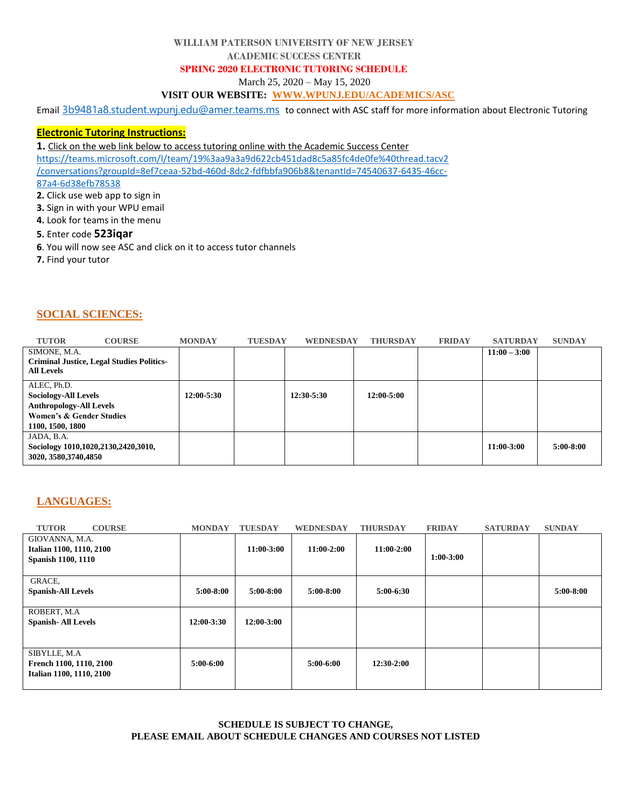### **WILLIAM PATERSON UNIVERSITY OF NEW JERSEY**

#### **ACADEMIC SUCCESS CENTER**

### **SPRING 2020 ELECTRONIC TUTORING SCHEDULE**

March 25, 2020 – May 15, 2020

## **VISIT OUR WEBSITE: [WWW.WPUNJ.EDU/ACADEMICS/ASC](http://www.wpunj.edu/ACADEMICS/ASC)**

Email [3b9481a8.student.wpunj.edu@amer.teams.ms](mailto:3b9481a8.student.wpunj.edu@amer.teams.ms) to connect with ASC staff for more information about Electronic Tutoring

### **Electronic Tutoring Instructions:**

**1.** Click on the web link below to access tutoring online with the Academic Success Center

[https://teams.microsoft.com/l/team/19%3aa9a3a9d622cb451dad8c5a85fc4de0fe%40thread.tacv2](https://teams.microsoft.com/l/team/19%3aa9a3a9d622cb451dad8c5a85fc4de0fe%40thread.tacv2/conversations?groupId=8ef7ceaa-52bd-460d-8dc2-fdfbbfa906b8&tenantId=74540637-6435-46cc-87a4-6d38efb78538)

[/conversations?groupId=8ef7ceaa-52bd-460d-8dc2-fdfbbfa906b8&tenantId=74540637-6435-46cc-](https://teams.microsoft.com/l/team/19%3aa9a3a9d622cb451dad8c5a85fc4de0fe%40thread.tacv2/conversations?groupId=8ef7ceaa-52bd-460d-8dc2-fdfbbfa906b8&tenantId=74540637-6435-46cc-87a4-6d38efb78538)

[87a4-6d38efb78538](https://teams.microsoft.com/l/team/19%3aa9a3a9d622cb451dad8c5a85fc4de0fe%40thread.tacv2/conversations?groupId=8ef7ceaa-52bd-460d-8dc2-fdfbbfa906b8&tenantId=74540637-6435-46cc-87a4-6d38efb78538)

- **2.** Click use web app to sign in
- **3.** Sign in with your WPU email
- **4.** Look for teams in the menu

## **5.** Enter code **523iqar**

- **6**. You will now see ASC and click on it to access tutor channels
- **7.** Find your tutor

## **SOCIAL SCIENCES:**

| <b>TUTOR</b>                                                                                                                            | <b>COURSE</b>                                    | <b>MONDAY</b> | <b>TUESDAY</b> | WEDNESDAY      | <b>THURSDAY</b> | <b>FRIDAY</b> | <b>SATURDAY</b> | <b>SUNDAY</b> |
|-----------------------------------------------------------------------------------------------------------------------------------------|--------------------------------------------------|---------------|----------------|----------------|-----------------|---------------|-----------------|---------------|
| SIMONE, M.A.<br><b>All Levels</b>                                                                                                       | <b>Criminal Justice, Legal Studies Politics-</b> |               |                |                |                 |               | $11:00 - 3:00$  |               |
| ALEC, Ph.D.<br><b>Sociology-All Levels</b><br><b>Anthropology-All Levels</b><br><b>Women's &amp; Gender Studies</b><br>1100, 1500, 1800 |                                                  | 12:00-5:30    |                | $12:30 - 5:30$ | $12:00 - 5:00$  |               |                 |               |
| JADA, B.A.<br>Sociology 1010,1020,2130,2420,3010,<br>3020, 3580, 3740, 4850                                                             |                                                  |               |                |                |                 |               | 11:00-3:00      | $5:00-8:00$   |

# **LANGUAGES:**

| <b>TUTOR</b>                                                         | <b>COURSE</b> | <b>MONDAY</b>  | <b>TUESDAY</b> | <b>WEDNESDAY</b> | <b>THURSDAY</b> | <b>FRIDAY</b> | <b>SATURDAY</b> | <b>SUNDAY</b> |
|----------------------------------------------------------------------|---------------|----------------|----------------|------------------|-----------------|---------------|-----------------|---------------|
| GIOVANNA, M.A.<br>Italian 1100, 1110, 2100<br>Spanish 1100, 1110     |               |                | $11:00-3:00$   | 11:00-2:00       | 11:00-2:00      | $1:00-3:00$   |                 |               |
| GRACE.<br><b>Spanish-All Levels</b>                                  |               | $5:00-8:00$    | $5:00-8:00$    | $5:00-8:00$      | $5:00-6:30$     |               |                 | $5:00-8:00$   |
| ROBERT, M.A<br><b>Spanish-All Levels</b>                             |               | $12:00 - 3:30$ | 12:00-3:00     |                  |                 |               |                 |               |
| SIBYLLE, M.A.<br>French 1100, 1110, 2100<br>Italian 1100, 1110, 2100 |               | $5:00-6:00$    |                | $5:00-6:00$      | 12:30-2:00      |               |                 |               |

### **SCHEDULE IS SUBJECT TO CHANGE, PLEASE EMAIL ABOUT SCHEDULE CHANGES AND COURSES NOT LISTED**